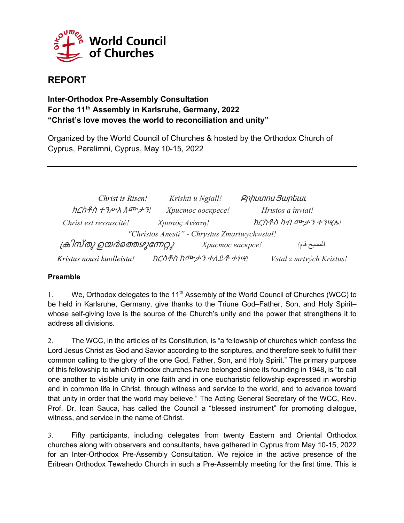

# **REPORT**

# **Inter-Orthodox Pre-Assembly Consultation For the 11th Assembly in Karlsruhe, Germany, 2022 "Christ's love moves the world to reconciliation and unity"**

Organized by the World Council of Churches & hosted by the Orthodox Church of Cyprus, Paralimni, Cyprus, May 10-15, 2022

| Christ is Risen!                               | Krishti u Ngjall!    | <b>Քրիստոս Յարեաւ</b> |                          |
|------------------------------------------------|----------------------|-----------------------|--------------------------|
| ክርስቶስ ተንሥአ እሙታን!                               | Христос воскресе!    | Hristos a înviat!     |                          |
| Christ est ressuscité!                         | Χριστός Ανέστη!      | ክርስቶስ ካብ ሙታን ተንሢኡ!    |                          |
| "Christos Anesti" - Chrystus Zmartwychwstał!   |                      |                       |                          |
| ക്രിസ്തു ഉയർത്തെഴുന്നേറ്റു<br>Христос васкрсе! |                      |                       | المسيح قام!              |
| Kristus nousi kuolleista!                      | ክርስቶስ ከሙታን ተለይቶ ተነሣ! |                       | Vstal z mrtvých Kristus! |

#### **Preamble**

1. We, Orthodox delegates to the 11<sup>th</sup> Assembly of the World Council of Churches (WCC) to be held in Karlsruhe, Germany, give thanks to the Triune God–Father, Son, and Holy Spirit– whose self-giving love is the source of the Church's unity and the power that strengthens it to address all divisions.

2. The WCC, in the articles of its Constitution, is "a fellowship of churches which confess the Lord Jesus Christ as God and Savior according to the scriptures, and therefore seek to fulfill their common calling to the glory of the one God, Father, Son, and Holy Spirit." The primary purpose of this fellowship to which Orthodox churches have belonged since its founding in 1948, is "to call one another to visible unity in one faith and in one eucharistic fellowship expressed in worship and in common life in Christ, through witness and service to the world, and to advance toward that unity in order that the world may believe." The Acting General Secretary of the WCC, Rev. Prof. Dr. Ioan Sauca, has called the Council a "blessed instrument" for promoting dialogue, witness, and service in the name of Christ.

3. Fifty participants, including delegates from twenty Eastern and Oriental Orthodox churches along with observers and consultants, have gathered in Cyprus from May 10-15, 2022 for an Inter-Orthodox Pre-Assembly Consultation. We rejoice in the active presence of the Eritrean Orthodox Tewahedo Church in such a Pre-Assembly meeting for the first time. This is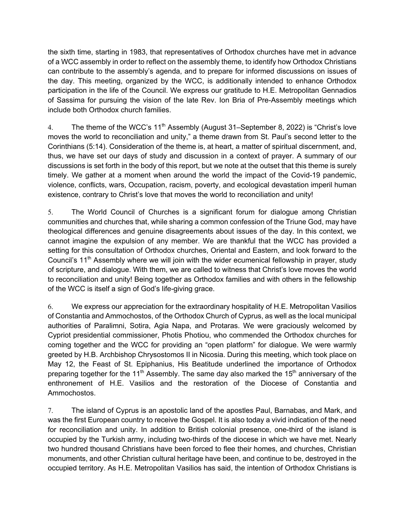the sixth time, starting in 1983, that representatives of Orthodox churches have met in advance of a WCC assembly in order to reflect on the assembly theme, to identify how Orthodox Christians can contribute to the assembly's agenda, and to prepare for informed discussions on issues of the day. This meeting, organized by the WCC, is additionally intended to enhance Orthodox participation in the life of the Council. We express our gratitude to H.E. Metropolitan Gennadios of Sassima for pursuing the vision of the late Rev. Ion Bria of Pre-Assembly meetings which include both Orthodox church families.

4. The theme of the WCC's 11<sup>th</sup> Assembly (August 31–September 8, 2022) is "Christ's love moves the world to reconciliation and unity," a theme drawn from St. Paul's second letter to the Corinthians (5:14). Consideration of the theme is, at heart, a matter of spiritual discernment, and, thus, we have set our days of study and discussion in a context of prayer. A summary of our discussions is set forth in the body of this report, but we note at the outset that this theme is surely timely. We gather at a moment when around the world the impact of the Covid-19 pandemic, violence, conflicts, wars, Occupation, racism, poverty, and ecological devastation imperil human existence, contrary to Christ's love that moves the world to reconciliation and unity!

5. The World Council of Churches is a significant forum for dialogue among Christian communities and churches that, while sharing a common confession of the Triune God, may have theological differences and genuine disagreements about issues of the day. In this context, we cannot imagine the expulsion of any member. We are thankful that the WCC has provided a setting for this consultation of Orthodox churches, Oriental and Eastern, and look forward to the Council's 11th Assembly where we will join with the wider ecumenical fellowship in prayer, study of scripture, and dialogue. With them, we are called to witness that Christ's love moves the world to reconciliation and unity! Being together as Orthodox families and with others in the fellowship of the WCC is itself a sign of God's life-giving grace.

6. We express our appreciation for the extraordinary hospitality of H.E. Metropolitan Vasilios of Constantia and Ammochostos, of the Orthodox Church of Cyprus, as well as the local municipal authorities of Paralimni, Sotira, Agia Napa, and Protaras. We were graciously welcomed by Cypriot presidential commissioner, Photis Photiou, who commended the Orthodox churches for coming together and the WCC for providing an "open platform" for dialogue. We were warmly greeted by H.B. Archbishop Chrysostomos II in Nicosia. During this meeting, which took place on May 12, the Feast of St. Epiphanius, His Beatitude underlined the importance of Orthodox preparing together for the 11<sup>th</sup> Assembly. The same day also marked the 15<sup>th</sup> anniversary of the enthronement of H.E. Vasilios and the restoration of the Diocese of Constantia and Ammochostos.

7. The island of Cyprus is an apostolic land of the apostles Paul, Barnabas, and Mark, and was the first European country to receive the Gospel. It is also today a vivid indication of the need for reconciliation and unity. In addition to British colonial presence, one-third of the island is occupied by the Turkish army, including two-thirds of the diocese in which we have met. Nearly two hundred thousand Christians have been forced to flee their homes, and churches, Christian monuments, and other Christian cultural heritage have been, and continue to be, destroyed in the occupied territory. As H.E. Metropolitan Vasilios has said, the intention of Orthodox Christians is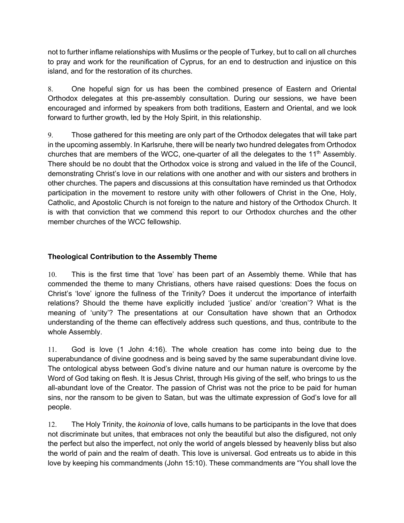not to further inflame relationships with Muslims or the people of Turkey, but to call on all churches to pray and work for the reunification of Cyprus, for an end to destruction and injustice on this island, and for the restoration of its churches.

8. One hopeful sign for us has been the combined presence of Eastern and Oriental Orthodox delegates at this pre-assembly consultation. During our sessions, we have been encouraged and informed by speakers from both traditions, Eastern and Oriental, and we look forward to further growth, led by the Holy Spirit, in this relationship.

9. Those gathered for this meeting are only part of the Orthodox delegates that will take part in the upcoming assembly. In Karlsruhe, there will be nearly two hundred delegates from Orthodox churches that are members of the WCC, one-quarter of all the delegates to the  $11<sup>th</sup>$  Assembly. There should be no doubt that the Orthodox voice is strong and valued in the life of the Council, demonstrating Christ's love in our relations with one another and with our sisters and brothers in other churches. The papers and discussions at this consultation have reminded us that Orthodox participation in the movement to restore unity with other followers of Christ in the One, Holy, Catholic, and Apostolic Church is not foreign to the nature and history of the Orthodox Church. It is with that conviction that we commend this report to our Orthodox churches and the other member churches of the WCC fellowship.

### **Theological Contribution to the Assembly Theme**

10. This is the first time that 'love' has been part of an Assembly theme. While that has commended the theme to many Christians, others have raised questions: Does the focus on Christ's 'love' ignore the fullness of the Trinity? Does it undercut the importance of interfaith relations? Should the theme have explicitly included 'justice' and/or 'creation'? What is the meaning of 'unity'? The presentations at our Consultation have shown that an Orthodox understanding of the theme can effectively address such questions, and thus, contribute to the whole Assembly.

11. God is love (1 John 4:16). The whole creation has come into being due to the superabundance of divine goodness and is being saved by the same superabundant divine love. The ontological abyss between God's divine nature and our human nature is overcome by the Word of God taking on flesh. It is Jesus Christ, through His giving of the self, who brings to us the all-abundant love of the Creator. The passion of Christ was not the price to be paid for human sins, nor the ransom to be given to Satan, but was the ultimate expression of God's love for all people.

12. The Holy Trinity, the *koinonia* of love, calls humans to be participants in the love that does not discriminate but unites, that embraces not only the beautiful but also the disfigured, not only the perfect but also the imperfect, not only the world of angels blessed by heavenly bliss but also the world of pain and the realm of death. This love is universal. God entreats us to abide in this love by keeping his commandments (John 15:10). These commandments are "You shall love the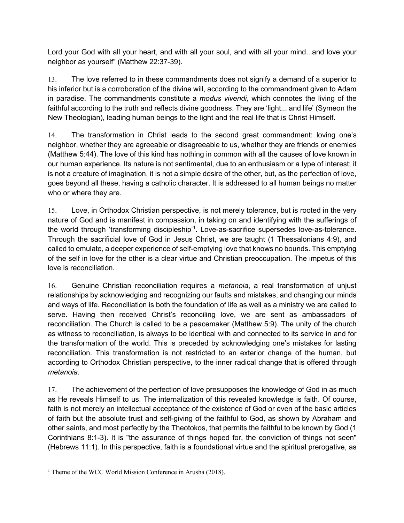Lord your God with all your heart, and with all your soul, and with all your mind...and love your neighbor as yourself" (Matthew 22:37-39).

13. The love referred to in these commandments does not signify a demand of a superior to his inferior but is a corroboration of the divine will, according to the commandment given to Adam in paradise. The commandments constitute a *modus vivendi,* which connotes the living of the faithful according to the truth and reflects divine goodness. They are 'light... and life' (Symeon the New Theologian), leading human beings to the light and the real life that is Christ Himself.

14. The transformation in Christ leads to the second great commandment: loving one's neighbor, whether they are agreeable or disagreeable to us, whether they are friends or enemies (Matthew 5:44). The love of this kind has nothing in common with all the causes of love known in our human experience. Its nature is not sentimental, due to an enthusiasm or a type of interest; it is not a creature of imagination, it is not a simple desire of the other, but, as the perfection of love, goes beyond all these, having a catholic character. It is addressed to all human beings no matter who or where they are.

15. Love, in Orthodox Christian perspective, is not merely tolerance, but is rooted in the very nature of God and is manifest in compassion, in taking on and identifying with the sufferings of the world through 'transforming discipleship'<sup>1</sup>. Love-as-sacrifice supersedes love-as-tolerance. Through the sacrificial love of God in Jesus Christ, we are taught (1 Thessalonians 4:9), and called to emulate, a deeper experience of self-emptying love that knows no bounds. This emptying of the self in love for the other is a clear virtue and Christian preoccupation. The impetus of this love is reconciliation.

16. Genuine Christian reconciliation requires a *metanoia*, a real transformation of unjust relationships by acknowledging and recognizing our faults and mistakes, and changing our minds and ways of life. Reconciliation is both the foundation of life as well as a ministry we are called to serve. Having then received Christ's reconciling love, we are sent as ambassadors of reconciliation. The Church is called to be a peacemaker (Matthew 5:9). The unity of the church as witness to reconciliation, is always to be identical with and connected to its service in and for the transformation of the world. This is preceded by acknowledging one's mistakes for lasting reconciliation. This transformation is not restricted to an exterior change of the human, but according to Orthodox Christian perspective, to the inner radical change that is offered through *metanoia.*

17. The achievement of the perfection of love presupposes the knowledge of God in as much as He reveals Himself to us. The internalization of this revealed knowledge is faith. Of course, faith is not merely an intellectual acceptance of the existence of God or even of the basic articles of faith but the absolute trust and self-giving of the faithful to God, as shown by Abraham and other saints, and most perfectly by the Theotokos, that permits the faithful to be known by God (1 Corinthians 8:1-3). It is "the assurance of things hoped for, the conviction of things not seen" (Hebrews 11:1). In this perspective, faith is a foundational virtue and the spiritual prerogative, as

<sup>&</sup>lt;sup>1</sup> Theme of the WCC World Mission Conference in Arusha (2018).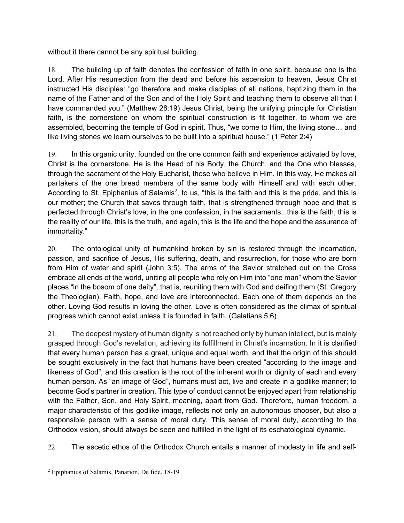without it there cannot be any spiritual building.

18. The building up of faith denotes the confession of faith in one spirit, because one is the Lord. After His resurrection from the dead and before his ascension to heaven, Jesus Christ instructed His disciples: "go therefore and make disciples of all nations, baptizing them in the name of the Father and of the Son and of the Holy Spirit and teaching them to observe all that I have commanded you." (Matthew 28:19) Jesus Christ, being the unifying principle for Christian faith, is the cornerstone on whom the spiritual construction is fit together, to whom we are assembled, becoming the temple of God in spirit. Thus, "we come to Him, the living stone… and like living stones we learn ourselves to be built into a spiritual house." (1 Peter 2:4)

19. In this organic unity, founded on the one common faith and experience activated by love, Christ is the cornerstone. He is the Head of his Body, the Church, and the One who blesses, through the sacrament of the Holy Eucharist, those who believe in Him. In this way, He makes all partakers of the one bread members of the same body with Himself and with each other. According to St. Epiphanius of Salamis<sup>2</sup>, to us, "this is the faith and this is the pride, and this is our mother; the Church that saves through faith, that is strengthened through hope and that is perfected through Christ's love, in the one confession, in the sacraments...this is the faith, this is the reality of our life, this is the truth, and again, this is the life and the hope and the assurance of immortality."

20. The ontological unity of humankind broken by sin is restored through the incarnation, passion, and sacrifice of Jesus, His suffering, death, and resurrection, for those who are born from Him of water and spirit (John 3:5). The arms of the Savior stretched out on the Cross embrace all ends of the world, uniting all people who rely on Him into "one man" whom the Savior places "in the bosom of one deity", that is, reuniting them with God and deifing them (St. Gregory the Theologian). Faith, hope, and love are interconnected. Each one of them depends on the other. Loving God results in loving the other. Love is often considered as the climax of spiritual progress which cannot exist unless it is founded in faith. (Galatians 5:6)

21. The deepest mystery of human dignity is not reached only by human intellect, but is mainly grasped through God's revelation, achieving its fulfillment in Christ's incarnation. In it is clarified that every human person has a great, unique and equal worth, and that the origin of this should be sought exclusively in the fact that humans have been created "according to the image and likeness of God", and this creation is the root of the inherent worth or dignity of each and every human person. As "an image of God", humans must act, live and create in a godlike manner; to become God's partner in creation. This type of conduct cannot be enjoyed apart from relationship with the Father, Son, and Holy Spirit, meaning, apart from God. Therefore, human freedom, a major characteristic of this godlike image, reflects not only an autonomous chooser, but also a responsible person with a sense of moral duty. This sense of moral duty, according to the Orthodox vision, should always be seen and fulfilled in the light of its eschatological dynamic.

22. The ascetic ethos of the Orthodox Church entails a manner of modesty in life and self-

<sup>2</sup> Epiphanius of Salamis, Panarion, De fide, 18-19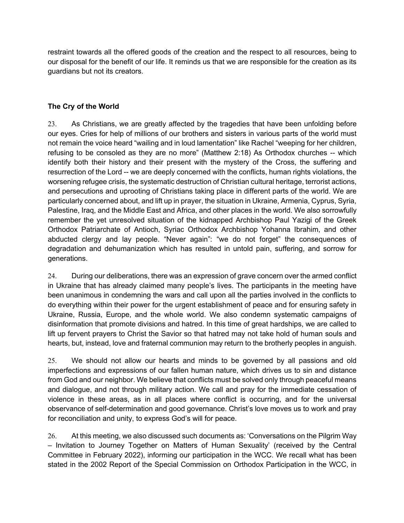restraint towards all the offered goods of the creation and the respect to all resources, being to our disposal for the benefit of our life. It reminds us that we are responsible for the creation as its guardians but not its creators.

# **The Cry of the World**

23. As Christians, we are greatly affected by the tragedies that have been unfolding before our eyes. Cries for help of millions of our brothers and sisters in various parts of the world must not remain the voice heard "wailing and in loud lamentation" like Rachel "weeping for her children, refusing to be consoled as they are no more" (Matthew 2:18) As Orthodox churches -- which identify both their history and their present with the mystery of the Cross, the suffering and resurrection of the Lord -- we are deeply concerned with the conflicts, human rights violations, the worsening refugee crisis, the systematic destruction of Christian cultural heritage, terrorist actions, and persecutions and uprooting of Christians taking place in different parts of the world. We are particularly concerned about, and lift up in prayer, the situation in Ukraine, Armenia, Cyprus, Syria, Palestine, Iraq, and the Middle East and Africa, and other places in the world. We also sorrowfully remember the yet unresolved situation of the kidnapped Archbishop Paul Yazigi of the Greek Orthodox Patriarchate of Antioch, Syriac Orthodox Archbishop Yohanna Ibrahim, and other abducted clergy and lay people. "Never again": "we do not forget" the consequences of degradation and dehumanization which has resulted in untold pain, suffering, and sorrow for generations.

24. During our deliberations, there was an expression of grave concern over the armed conflict in Ukraine that has already claimed many people's lives. The participants in the meeting have been unanimous in condemning the wars and call upon all the parties involved in the conflicts to do everything within their power for the urgent establishment of peace and for ensuring safety in Ukraine, Russia, Europe, and the whole world. We also condemn systematic campaigns of disinformation that promote divisions and hatred. In this time of great hardships, we are called to lift up fervent prayers to Christ the Savior so that hatred may not take hold of human souls and hearts, but, instead, love and fraternal communion may return to the brotherly peoples in anguish.

25. We should not allow our hearts and minds to be governed by all passions and old imperfections and expressions of our fallen human nature, which drives us to sin and distance from God and our neighbor. We believe that conflicts must be solved only through peaceful means and dialogue, and not through military action. We call and pray for the immediate cessation of violence in these areas, as in all places where conflict is occurring, and for the universal observance of self-determination and good governance. Christ's love moves us to work and pray for reconciliation and unity, to express God's will for peace.

26. At this meeting, we also discussed such documents as: 'Conversations on the Pilgrim Way – Invitation to Journey Together on Matters of Human Sexuality' (received by the Central Committee in February 2022), informing our participation in the WCC. We recall what has been stated in the 2002 Report of the Special Commission on Orthodox Participation in the WCC, in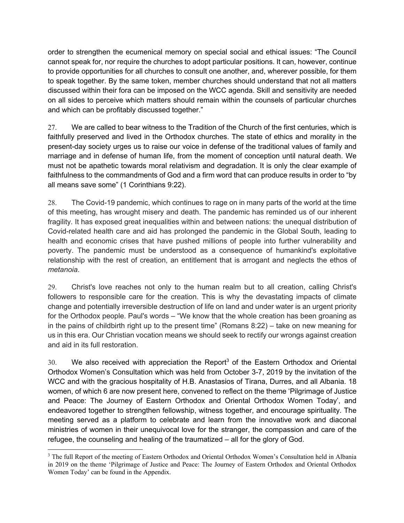order to strengthen the ecumenical memory on special social and ethical issues: "The Council cannot speak for, nor require the churches to adopt particular positions. It can, however, continue to provide opportunities for all churches to consult one another, and, wherever possible, for them to speak together. By the same token, member churches should understand that not all matters discussed within their fora can be imposed on the WCC agenda. Skill and sensitivity are needed on all sides to perceive which matters should remain within the counsels of particular churches and which can be profitably discussed together."

27. We are called to bear witness to the Tradition of the Church of the first centuries, which is faithfully preserved and lived in the Orthodox churches. The state of ethics and morality in the present-day society urges us to raise our voice in defense of the traditional values of family and marriage and in defense of human life, from the moment of conception until natural death. We must not be apathetic towards moral relativism and degradation. It is only the clear example of faithfulness to the commandments of God and a firm word that can produce results in order to "by all means save some" (1 Corinthians 9:22).

28. The Covid-19 pandemic, which continues to rage on in many parts of the world at the time of this meeting, has wrought misery and death. The pandemic has reminded us of our inherent fragility. It has exposed great inequalities within and between nations: the unequal distribution of Covid-related health care and aid has prolonged the pandemic in the Global South, leading to health and economic crises that have pushed millions of people into further vulnerability and poverty. The pandemic must be understood as a consequence of humankind's exploitative relationship with the rest of creation, an entitlement that is arrogant and neglects the ethos of *metanoia*.

29. Christ's love reaches not only to the human realm but to all creation, calling Christ's followers to responsible care for the creation. This is why the devastating impacts of climate change and potentially irreversible destruction of life on land and under water is an urgent priority for the Orthodox people. Paul's words – "We know that the whole creation has been groaning as in the pains of childbirth right up to the present time" (Romans 8:22) – take on new meaning for us in this era. Our Christian vocation means we should seek to rectify our wrongs against creation and aid in its full restoration.

 $30.$  We also received with appreciation the Report<sup>3</sup> of the Eastern Orthodox and Oriental Orthodox Women's Consultation which was held from October 3-7, 2019 by the invitation of the WCC and with the gracious hospitality of H.B. Anastasios of Tirana, Durres, and all Albania. 18 women, of which 6 are now present here, convened to reflect on the theme 'Pilgrimage of Justice and Peace: The Journey of Eastern Orthodox and Oriental Orthodox Women Today', and endeavored together to strengthen fellowship, witness together, and encourage spirituality. The meeting served as a platform to celebrate and learn from the innovative work and diaconal ministries of women in their unequivocal love for the stranger, the compassion and care of the refugee, the counseling and healing of the traumatized – all for the glory of God.

<sup>&</sup>lt;sup>3</sup> The full Report of the meeting of Eastern Orthodox and Oriental Orthodox Women's Consultation held in Albania in 2019 on the theme 'Pilgrimage of Justice and Peace: The Journey of Eastern Orthodox and Oriental Orthodox Women Today' can be found in the Appendix.